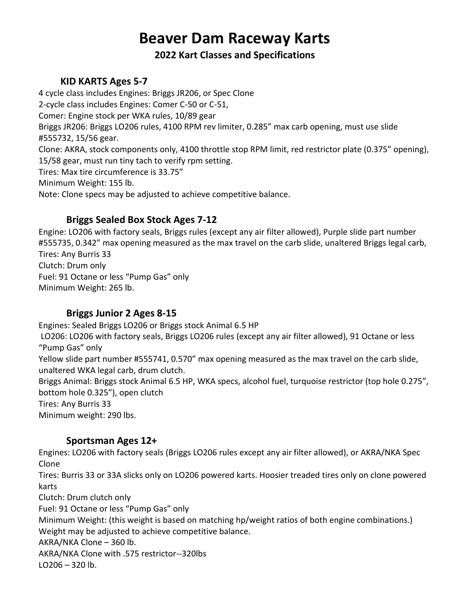# **Beaver Dam Raceway Karts**

**2022 Kart Classes and Specifications**

## **KID KARTS Ages 5-7**

4 cycle class includes Engines: Briggs JR206, or Spec Clone 2-cycle class includes Engines: Comer C-50 or C-51, Comer: Engine stock per WKA rules, 10/89 gear Briggs JR206: Briggs LO206 rules, 4100 RPM rev limiter, 0.285" max carb opening, must use slide #555732, 15/56 gear. Clone: AKRA, stock components only, 4100 throttle stop RPM limit, red restrictor plate (0.375" opening), 15/58 gear, must run tiny tach to verify rpm setting. Tires: Max tire circumference is 33.75" Minimum Weight: 155 lb. Note: Clone specs may be adjusted to achieve competitive balance.

## **Briggs Sealed Box Stock Ages 7-12**

Engine: LO206 with factory seals, Briggs rules (except any air filter allowed), Purple slide part number #555735, 0.342" max opening measured as the max travel on the carb slide, unaltered Briggs legal carb, Tires: Any Burris 33 Clutch: Drum only Fuel: 91 Octane or less "Pump Gas" only Minimum Weight: 265 lb.

### **Briggs Junior 2 Ages 8-15**

Engines: Sealed Briggs LO206 or Briggs stock Animal 6.5 HP LO206: LO206 with factory seals, Briggs LO206 rules (except any air filter allowed), 91 Octane or less "Pump Gas" only Yellow slide part number #555741, 0.570" max opening measured as the max travel on the carb slide, unaltered WKA legal carb, drum clutch. Briggs Animal: Briggs stock Animal 6.5 HP, WKA specs, alcohol fuel, turquoise restrictor (top hole 0.275", bottom hole 0.325"), open clutch Tires: Any Burris 33 Minimum weight: 290 lbs.

### **Sportsman Ages 12+**

Engines: LO206 with factory seals (Briggs LO206 rules except any air filter allowed), or AKRA/NKA Spec Clone

Tires: Burris 33 or 33A slicks only on LO206 powered karts. Hoosier treaded tires only on clone powered karts

Clutch: Drum clutch only

Fuel: 91 Octane or less "Pump Gas" only

Minimum Weight: (this weight is based on matching hp/weight ratios of both engine combinations.) Weight may be adjusted to achieve competitive balance.

AKRA/NKA Clone – 360 lb.

AKRA/NKA Clone with .575 restrictor--320lbs

 $LO206 - 320$  lb.